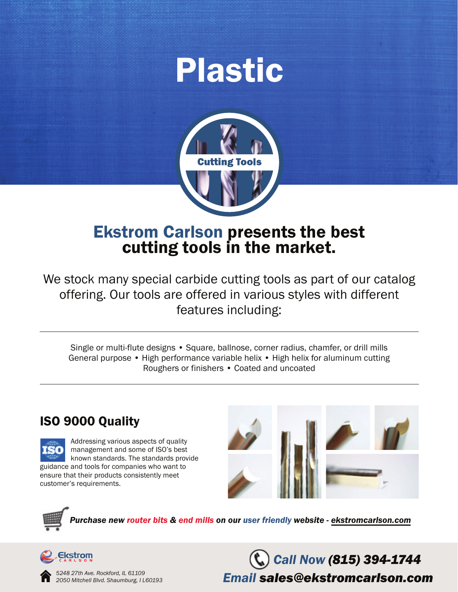# Plastic



## Ekstrom Carlson presents the best cutting tools in the market.

We stock many special carbide cutting tools as part of our catalog offering. Our tools are offered in various styles with different features including:

Single or multi-flute designs • Square, ballnose, corner radius, chamfer, or drill mills General purpose • High performance variable helix • High helix for aluminum cutting Roughers or finishers • Coated and uncoated

### ISO 9000 Quality





*Purchase new router bits & end mills on our user friendly website - ekstromcarlson.com*



*5248 27th Ave. Rockford, IL 61109 2050 Mitchell Blvd. Shaumburg, I L60193*

*Call Now (815) 394-1744 Email sales@ekstromcarlson.com*